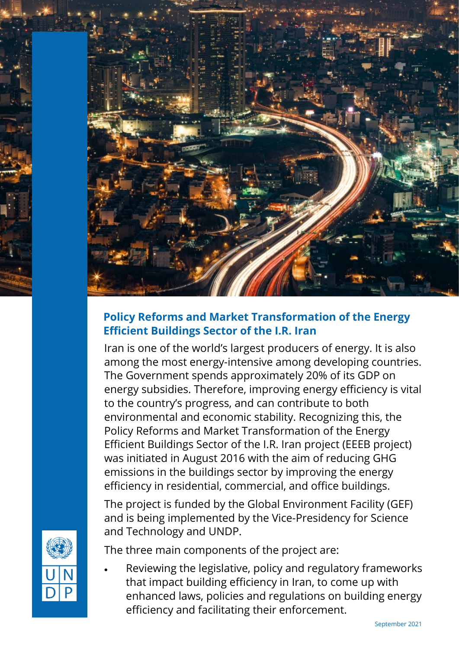

## **Policy Reforms and Market Transformation of the Energy Efficient Buildings Sector of the I.R. Iran**

Iran is one of the world's largest producers of energy. It is also among the most energy-intensive among developing countries. The Government spends approximately 20% of its GDP on energy subsidies. Therefore, improving energy efficiency is vital to the country's progress, and can contribute to both environmental and economic stability. Recognizing this, the Policy Reforms and Market Transformation of the Energy Efficient Buildings Sector of the I.R. Iran project (EEEB project) was initiated in August 2016 with the aim of reducing GHG emissions in the buildings sector by improving the energy efficiency in residential, commercial, and office buildings.

The project is funded by the Global Environment Facility (GEF) and is being implemented by the Vice-Presidency for Science and Technology and UNDP.

The three main components of the project are:

• Reviewing the legislative, policy and regulatory frameworks that impact building efficiency in Iran, to come up with enhanced laws, policies and regulations on building energy efficiency and facilitating their enforcement.